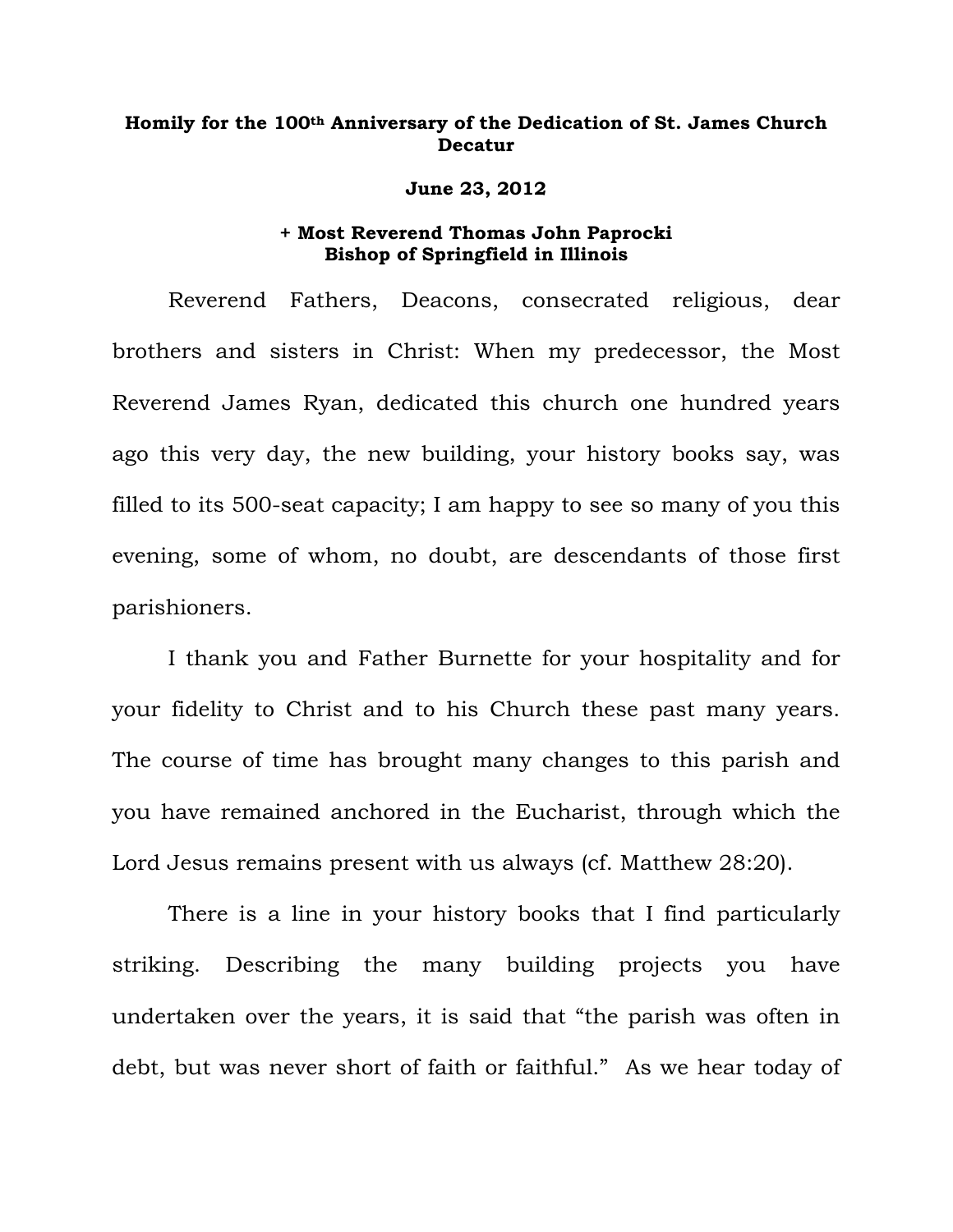## **Homily for the 100th Anniversary of the Dedication of St. James Church Decatur**

## **June 23, 2012**

## **+ Most Reverend Thomas John Paprocki Bishop of Springfield in Illinois**

Reverend Fathers, Deacons, consecrated religious, dear brothers and sisters in Christ: When my predecessor, the Most Reverend James Ryan, dedicated this church one hundred years ago this very day, the new building, your history books say, was filled to its 500-seat capacity; I am happy to see so many of you this evening, some of whom, no doubt, are descendants of those first parishioners.

I thank you and Father Burnette for your hospitality and for your fidelity to Christ and to his Church these past many years. The course of time has brought many changes to this parish and you have remained anchored in the Eucharist, through which the Lord Jesus remains present with us always (cf. Matthew 28:20).

There is a line in your history books that I find particularly striking. Describing the many building projects you have undertaken over the years, it is said that "the parish was often in debt, but was never short of faith or faithful." As we hear today of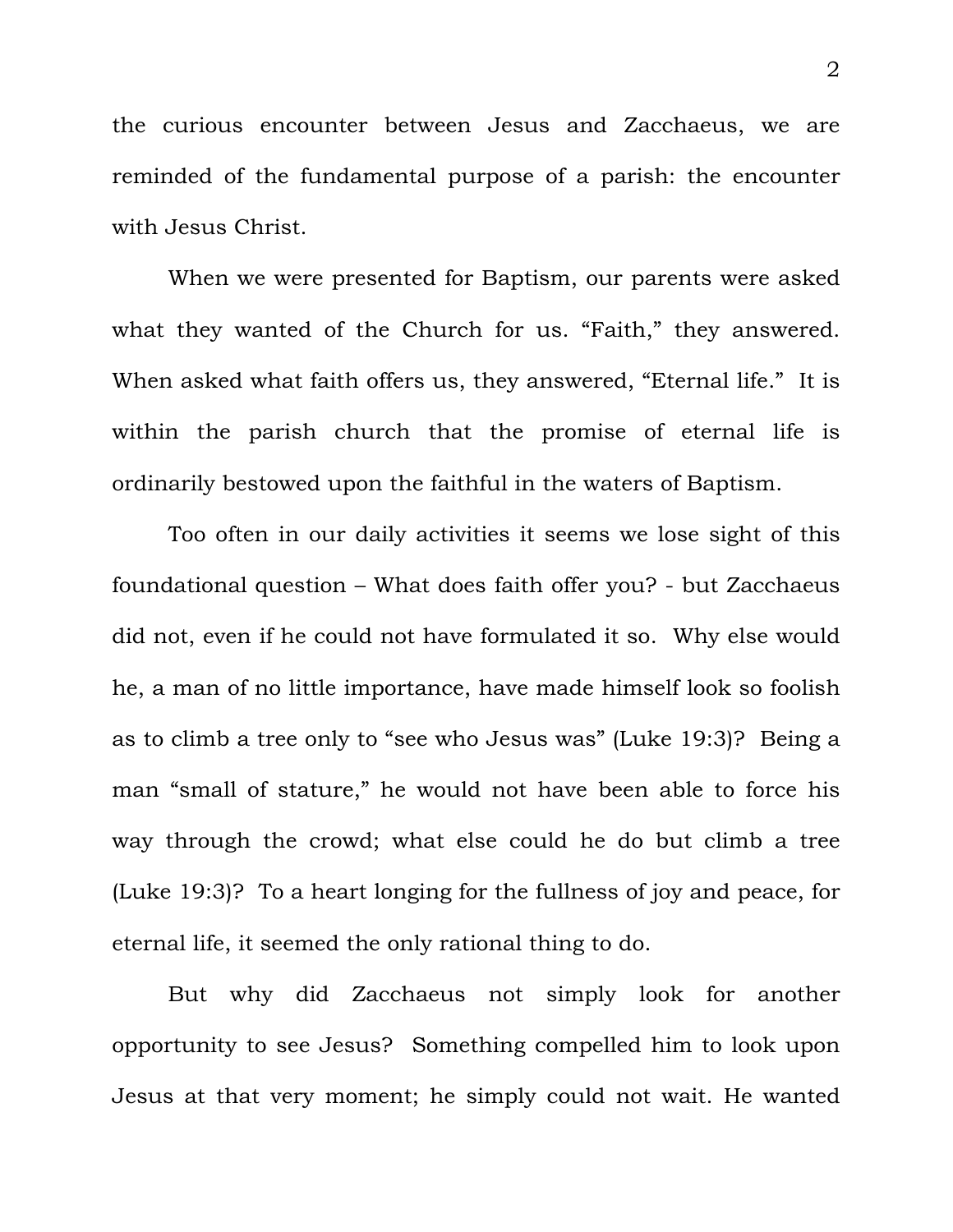the curious encounter between Jesus and Zacchaeus, we are reminded of the fundamental purpose of a parish: the encounter with Jesus Christ.

When we were presented for Baptism, our parents were asked what they wanted of the Church for us. "Faith," they answered. When asked what faith offers us, they answered, "Eternal life." It is within the parish church that the promise of eternal life is ordinarily bestowed upon the faithful in the waters of Baptism.

Too often in our daily activities it seems we lose sight of this foundational question – What does faith offer you? - but Zacchaeus did not, even if he could not have formulated it so. Why else would he, a man of no little importance, have made himself look so foolish as to climb a tree only to "see who Jesus was" (Luke 19:3)? Being a man "small of stature," he would not have been able to force his way through the crowd; what else could he do but climb a tree (Luke 19:3)? To a heart longing for the fullness of joy and peace, for eternal life, it seemed the only rational thing to do.

But why did Zacchaeus not simply look for another opportunity to see Jesus? Something compelled him to look upon Jesus at that very moment; he simply could not wait. He wanted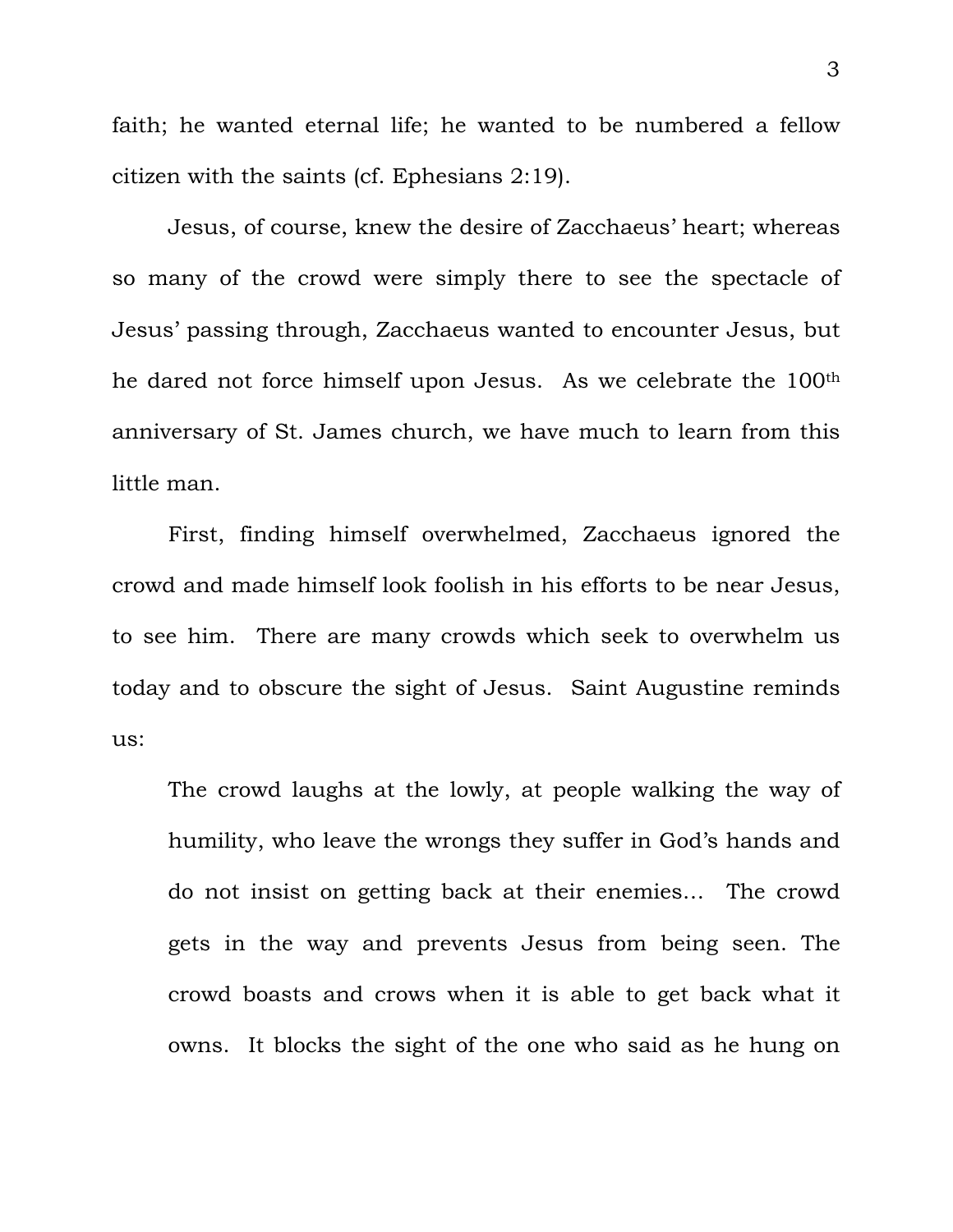faith; he wanted eternal life; he wanted to be numbered a fellow citizen with the saints (cf. Ephesians 2:19).

 Jesus, of course, knew the desire of Zacchaeus' heart; whereas so many of the crowd were simply there to see the spectacle of Jesus' passing through, Zacchaeus wanted to encounter Jesus, but he dared not force himself upon Jesus. As we celebrate the 100th anniversary of St. James church, we have much to learn from this little man.

 First, finding himself overwhelmed, Zacchaeus ignored the crowd and made himself look foolish in his efforts to be near Jesus, to see him. There are many crowds which seek to overwhelm us today and to obscure the sight of Jesus. Saint Augustine reminds us:

The crowd laughs at the lowly, at people walking the way of humility, who leave the wrongs they suffer in God's hands and do not insist on getting back at their enemies… The crowd gets in the way and prevents Jesus from being seen. The crowd boasts and crows when it is able to get back what it owns. It blocks the sight of the one who said as he hung on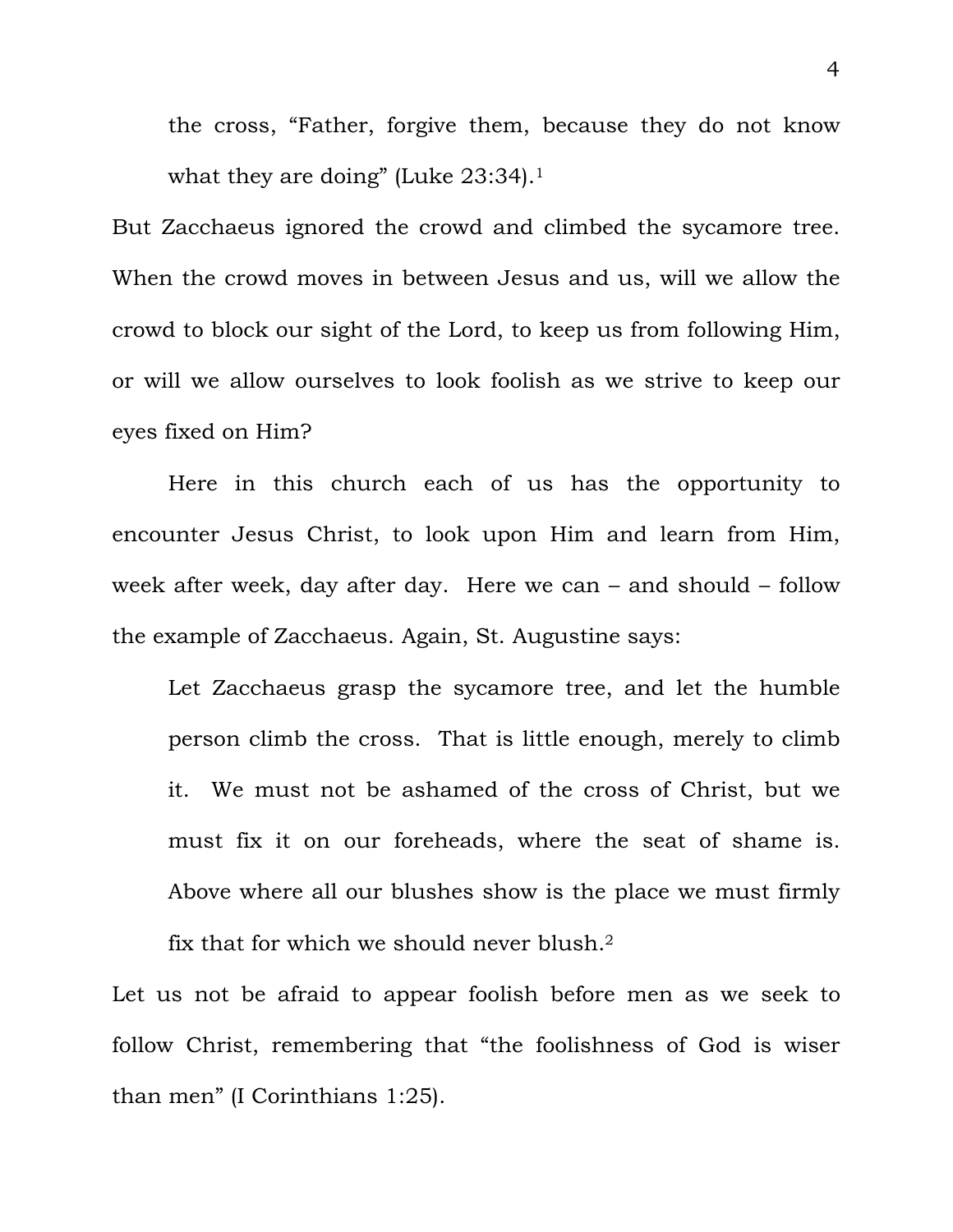the cross, "Father, forgive them, because they do not know what they are doing" (Luke 23:34).<sup>1</sup>

But Zacchaeus ignored the crowd and climbed the sycamore tree. When the crowd moves in between Jesus and us, will we allow the crowd to block our sight of the Lord, to keep us from following Him, or will we allow ourselves to look foolish as we strive to keep our eyes fixed on Him?

 Here in this church each of us has the opportunity to encounter Jesus Christ, to look upon Him and learn from Him, week after week, day after day. Here we can – and should – follow the example of Zacchaeus. Again, St. Augustine says:

Let Zacchaeus grasp the sycamore tree, and let the humble person climb the cross. That is little enough, merely to climb it. We must not be ashamed of the cross of Christ, but we must fix it on our foreheads, where the seat of shame is. Above where all our blushes show is the place we must firmly fix that for which we should never blush.2

Let us not be afraid to appear foolish before men as we seek to follow Christ, remembering that "the foolishness of God is wiser than men" (I Corinthians 1:25).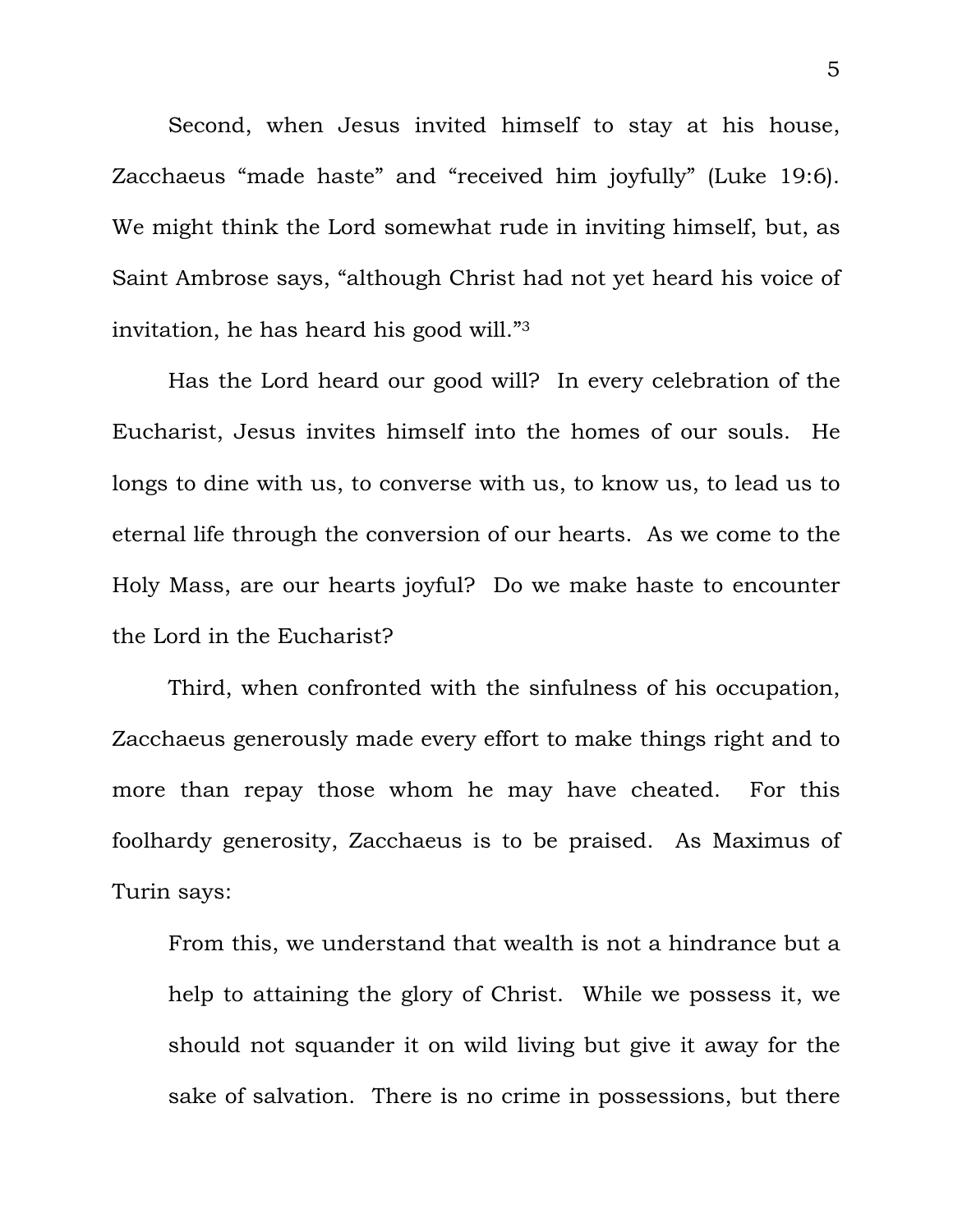Second, when Jesus invited himself to stay at his house, Zacchaeus "made haste" and "received him joyfully" (Luke 19:6). We might think the Lord somewhat rude in inviting himself, but, as Saint Ambrose says, "although Christ had not yet heard his voice of invitation, he has heard his good will."3

Has the Lord heard our good will? In every celebration of the Eucharist, Jesus invites himself into the homes of our souls. He longs to dine with us, to converse with us, to know us, to lead us to eternal life through the conversion of our hearts. As we come to the Holy Mass, are our hearts joyful? Do we make haste to encounter the Lord in the Eucharist?

Third, when confronted with the sinfulness of his occupation, Zacchaeus generously made every effort to make things right and to more than repay those whom he may have cheated. For this foolhardy generosity, Zacchaeus is to be praised. As Maximus of Turin says:

From this, we understand that wealth is not a hindrance but a help to attaining the glory of Christ. While we possess it, we should not squander it on wild living but give it away for the sake of salvation. There is no crime in possessions, but there